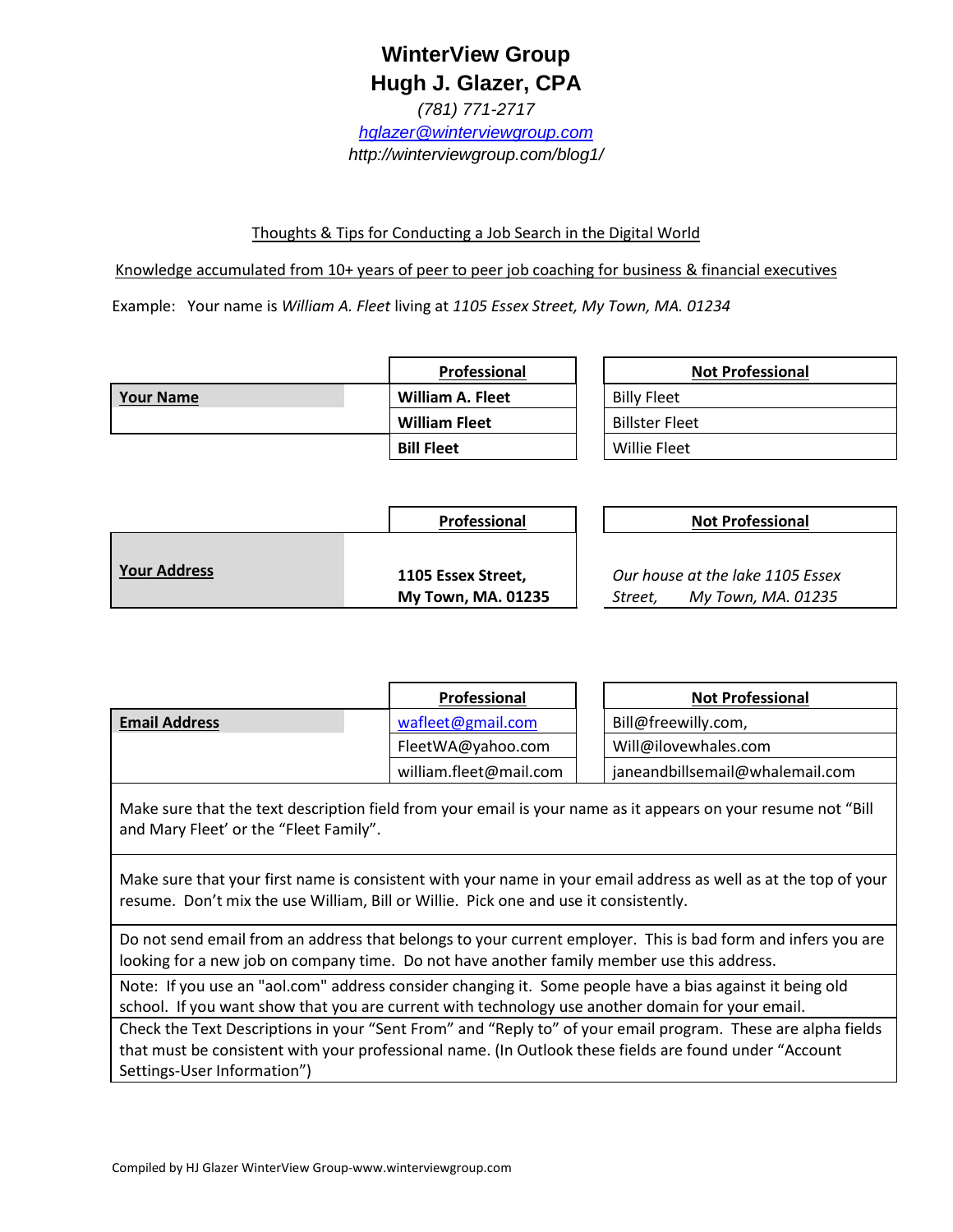## **WinterView Group Hugh J. Glazer, CPA**

*(781) 771-2717 [hglazer@winterviewgroup.com](mailto:hglazer@winterviewgroup.com) http://winterviewgroup.com/blog1/*

## Thoughts & Tips for Conducting a Job Search in the Digital World

Knowledge accumulated from 10+ years of peer to peer job coaching for business & financial executives

Example: Your name is *William A. Fleet* living at *1105 Essex Street, My Town, MA. 01234*

|                  | Professional            | <b>Not Professional</b> |
|------------------|-------------------------|-------------------------|
| <b>Your Name</b> | <b>William A. Fleet</b> | <b>Billy Fleet</b>      |
|                  | <b>William Fleet</b>    | <b>Billster Fleet</b>   |
|                  | <b>Bill Fleet</b>       | <b>Willie Fleet</b>     |

|                     | <b>Professional</b>                             | <b>Not Professional</b>                                           |
|---------------------|-------------------------------------------------|-------------------------------------------------------------------|
| <b>Your Address</b> | 1105 Essex Street,<br><b>My Town, MA. 01235</b> | Our house at the lake 1105 Essex<br>My Town, MA. 01235<br>Street. |

|                 | <b>Professional</b>    | <b>Not Professional</b>         |
|-----------------|------------------------|---------------------------------|
| l Email Address | wafleet@gmail.com      | Bill@freewilly.com,             |
|                 | FleetWA@yahoo.com      | Will@ilovewhales.com            |
|                 | william.fleet@mail.com | janeandbillsemail@whalemail.com |

Make sure that the text description field from your email is your name as it appears on your resume not "Bill and Mary Fleet' or the "Fleet Family".

Make sure that your first name is consistent with your name in your email address as well as at the top of your resume. Don't mix the use William, Bill or Willie. Pick one and use it consistently.

Do not send email from an address that belongs to your current employer. This is bad form and infers you are looking for a new job on company time. Do not have another family member use this address.

Note: If you use an "aol.com" address consider changing it. Some people have a bias against it being old school. If you want show that you are current with technology use another domain for your email.

Check the Text Descriptions in your "Sent From" and "Reply to" of your email program. These are alpha fields that must be consistent with your professional name. (In Outlook these fields are found under "Account Settings-User Information")